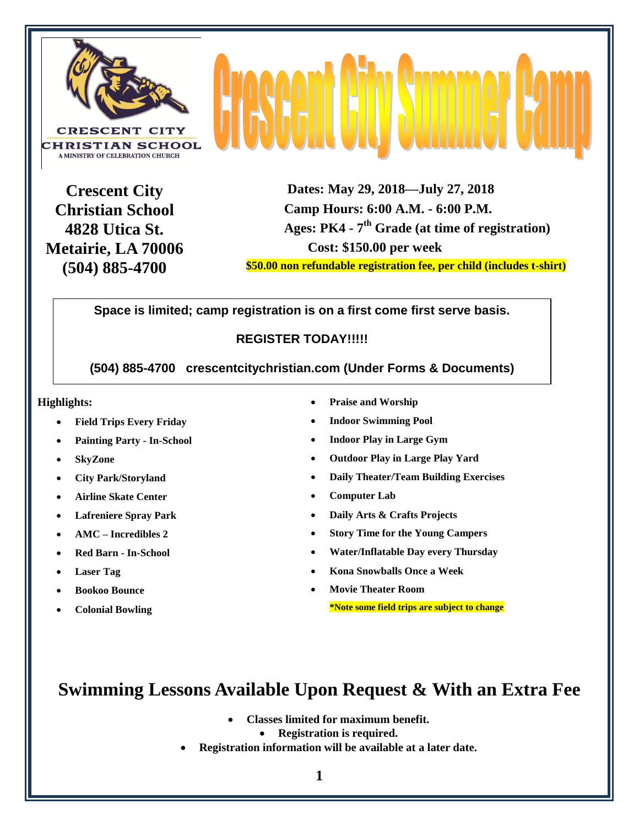



**Crescent City Christian School 4828 Utica St. Metairie, LA 70006 (504) 885-4700**

 **Dates: May 29, 2018—July 27, 2018 Camp Hours: 6:00 A.M. - 6:00 P.M. Ages: PK4 - 7 th Grade (at time of registration) Cost: \$150.00 per week \$50.00 non refundable registration fee, per child (includes t-shirt)**

**Space is limited; camp registration is on a first come first serve basis.**

### **REGISTER TODAY!!!!!**

**(504) 885-4700 crescentcitychristian.com (Under Forms & Documents)**

#### **Highlights:**

- **Field Trips Every Friday**
- **Painting Party - In-School**
- **SkyZone**
- **City Park/Storyland**
- **Airline Skate Center**
- **Lafreniere Spray Park**
- **AMC – Incredibles 2**
- **Red Barn - In-School**
- **Laser Tag**
- **Bookoo Bounce**
- **Colonial Bowling**
- **Praise and Worship**
- **Indoor Swimming Pool**
- **Indoor Play in Large Gym**
- **Outdoor Play in Large Play Yard**
- **Daily Theater/Team Building Exercises**
- **Computer Lab**
- **Daily Arts & Crafts Projects**
- **Story Time for the Young Campers**
- **Water/Inflatable Day every Thursday**
- **Kona Snowballs Once a Week**
- **Movie Theater Room \*Note some field trips are subject to change**

## **Swimming Lessons Available Upon Request & With an Extra Fee**

- **Classes limited for maximum benefit.**
	- **Registration is required.**
- **Registration information will be available at a later date.**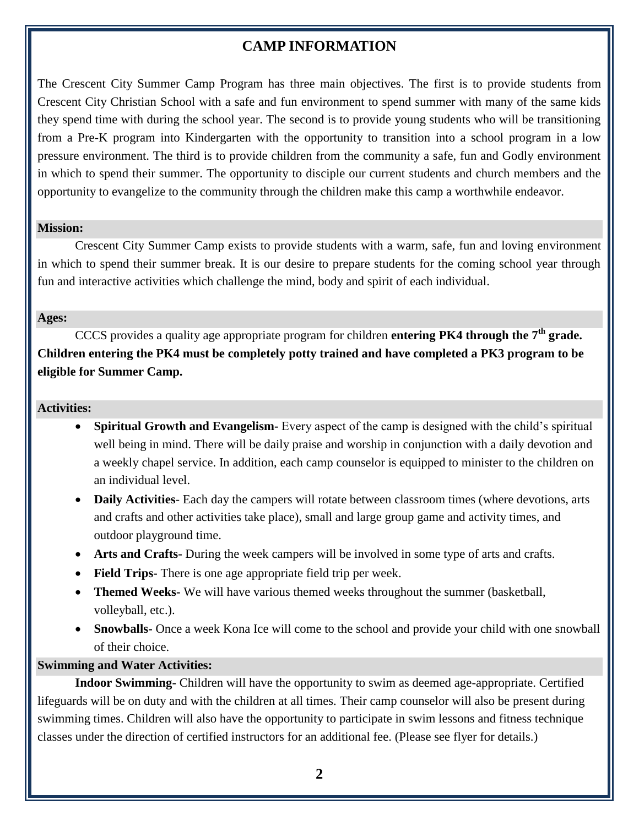### **CAMP INFORMATION**

The Crescent City Summer Camp Program has three main objectives. The first is to provide students from Crescent City Christian School with a safe and fun environment to spend summer with many of the same kids they spend time with during the school year. The second is to provide young students who will be transitioning from a Pre-K program into Kindergarten with the opportunity to transition into a school program in a low pressure environment. The third is to provide children from the community a safe, fun and Godly environment in which to spend their summer. The opportunity to disciple our current students and church members and the opportunity to evangelize to the community through the children make this camp a worthwhile endeavor.

#### **Mission:**

Crescent City Summer Camp exists to provide students with a warm, safe, fun and loving environment in which to spend their summer break. It is our desire to prepare students for the coming school year through fun and interactive activities which challenge the mind, body and spirit of each individual.

#### **Ages:**

CCCS provides a quality age appropriate program for children **entering PK4 through the 7th grade. Children entering the PK4 must be completely potty trained and have completed a PK3 program to be eligible for Summer Camp.** 

#### **Activities:**

- **Spiritual Growth and Evangelism-** Every aspect of the camp is designed with the child's spiritual well being in mind. There will be daily praise and worship in conjunction with a daily devotion and a weekly chapel service. In addition, each camp counselor is equipped to minister to the children on an individual level.
- **Daily Activities** Each day the campers will rotate between classroom times (where devotions, arts and crafts and other activities take place), small and large group game and activity times, and outdoor playground time.
- **Arts and Crafts-** During the week campers will be involved in some type of arts and crafts.
- **Field Trips-** There is one age appropriate field trip per week.
- **Themed Weeks-** We will have various themed weeks throughout the summer (basketball, volleyball, etc.).
- **Snowballs-** Once a week Kona Ice will come to the school and provide your child with one snowball of their choice.

#### **Swimming and Water Activities:**

**Indoor Swimming-** Children will have the opportunity to swim as deemed age-appropriate. Certified lifeguards will be on duty and with the children at all times. Their camp counselor will also be present during swimming times. Children will also have the opportunity to participate in swim lessons and fitness technique classes under the direction of certified instructors for an additional fee. (Please see flyer for details.)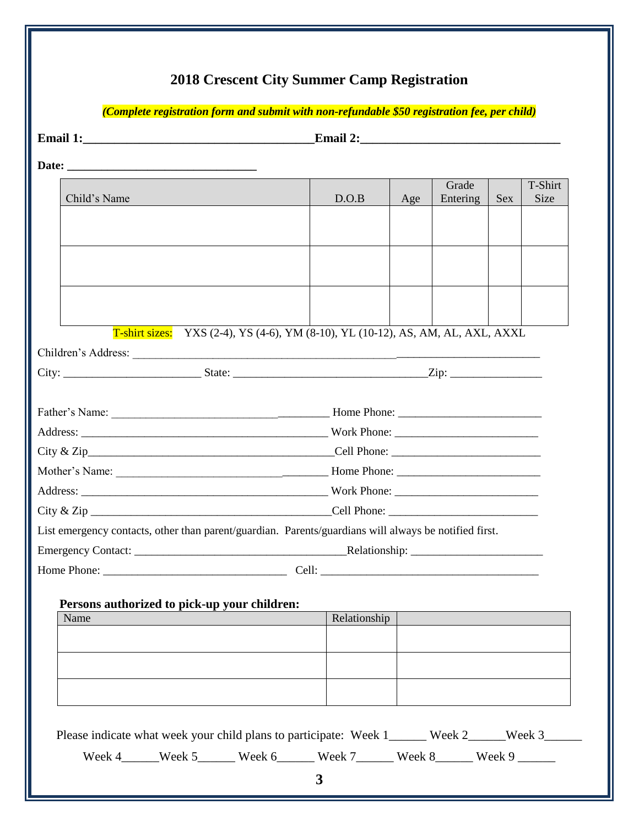| (Complete registration form and submit with non-refundable \$50 registration fee, per child)          |              |     |                   |            |                        |
|-------------------------------------------------------------------------------------------------------|--------------|-----|-------------------|------------|------------------------|
|                                                                                                       |              |     |                   |            |                        |
|                                                                                                       |              |     |                   |            |                        |
| Child's Name                                                                                          | D.O.B        | Age | Grade<br>Entering | <b>Sex</b> | T-Shirt<br><b>Size</b> |
|                                                                                                       |              |     |                   |            |                        |
|                                                                                                       |              |     |                   |            |                        |
|                                                                                                       |              |     |                   |            |                        |
| T-shirt sizes: YXS (2-4), YS (4-6), YM (8-10), YL (10-12), AS, AM, AL, AXL, AXXL                      |              |     |                   |            |                        |
| Children's Address: <u>New York: Address:</u> New York: 2014                                          |              |     |                   |            |                        |
|                                                                                                       |              |     |                   |            |                        |
|                                                                                                       |              |     |                   |            |                        |
|                                                                                                       |              |     |                   |            |                        |
|                                                                                                       |              |     |                   |            |                        |
|                                                                                                       |              |     |                   |            |                        |
|                                                                                                       |              |     |                   |            |                        |
| List emergency contacts, other than parent/guardian. Parents/guardians will always be notified first. |              |     |                   |            |                        |
|                                                                                                       |              |     |                   |            |                        |
|                                                                                                       |              |     |                   |            |                        |
|                                                                                                       |              |     |                   |            |                        |
| Persons authorized to pick-up your children:                                                          |              |     |                   |            |                        |
| Name                                                                                                  | Relationship |     |                   |            |                        |
|                                                                                                       |              |     |                   |            |                        |
|                                                                                                       |              |     |                   |            |                        |
|                                                                                                       |              |     |                   |            |                        |
|                                                                                                       |              |     |                   |            |                        |
| Please indicate what week your child plans to participate: Week 1_____ Week 2_____Week 3_____         |              |     |                   |            |                        |
| Week 4_____Week 5______Week 6_____Week 7_____Week 8_____Week 9 ______                                 |              |     |                   |            |                        |
|                                                                                                       | 3            |     |                   |            |                        |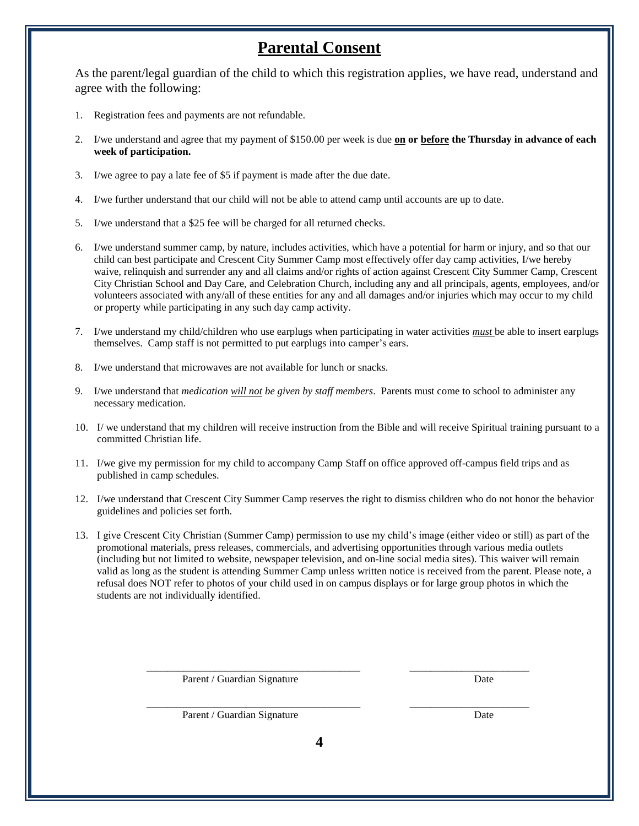### **Parental Consent**

As the parent/legal guardian of the child to which this registration applies, we have read, understand and agree with the following:

- 1. Registration fees and payments are not refundable.
- 2. I/we understand and agree that my payment of \$150.00 per week is due **on or before the Thursday in advance of each week of participation.**
- 3. I/we agree to pay a late fee of \$5 if payment is made after the due date.
- 4. I/we further understand that our child will not be able to attend camp until accounts are up to date.
- 5. I/we understand that a \$25 fee will be charged for all returned checks.
- 6. I/we understand summer camp, by nature, includes activities, which have a potential for harm or injury, and so that our child can best participate and Crescent City Summer Camp most effectively offer day camp activities, I/we hereby waive, relinquish and surrender any and all claims and/or rights of action against Crescent City Summer Camp, Crescent City Christian School and Day Care, and Celebration Church, including any and all principals, agents, employees, and/or volunteers associated with any/all of these entities for any and all damages and/or injuries which may occur to my child or property while participating in any such day camp activity.
- 7. I/we understand my child/children who use earplugs when participating in water activities *must* be able to insert earplugs themselves. Camp staff is not permitted to put earplugs into camper's ears.
- 8. I/we understand that microwaves are not available for lunch or snacks.
- 9. I/we understand that *medication will not be given by staff members*. Parents must come to school to administer any necessary medication.
- 10. I/ we understand that my children will receive instruction from the Bible and will receive Spiritual training pursuant to a committed Christian life.
- 11. I/we give my permission for my child to accompany Camp Staff on office approved off-campus field trips and as published in camp schedules.
- 12. I/we understand that Crescent City Summer Camp reserves the right to dismiss children who do not honor the behavior guidelines and policies set forth.
- 13. I give Crescent City Christian (Summer Camp) permission to use my child's image (either video or still) as part of the promotional materials, press releases, commercials, and advertising opportunities through various media outlets (including but not limited to website, newspaper television, and on-line social media sites). This waiver will remain valid as long as the student is attending Summer Camp unless written notice is received from the parent. Please note, a refusal does NOT refer to photos of your child used in on campus displays or for large group photos in which the students are not individually identified.

\_\_\_\_\_\_\_\_\_\_\_\_\_\_\_\_\_\_\_\_\_\_\_\_\_\_\_\_\_\_\_\_\_\_\_\_\_\_\_\_\_ \_\_\_\_\_\_\_\_\_\_\_\_\_\_\_\_\_\_\_\_\_\_\_

\_\_\_\_\_\_\_\_\_\_\_\_\_\_\_\_\_\_\_\_\_\_\_\_\_\_\_\_\_\_\_\_\_\_\_\_\_\_\_\_\_ \_\_\_\_\_\_\_\_\_\_\_\_\_\_\_\_\_\_\_\_\_\_\_

Parent / Guardian Signature Date

Parent / Guardian Signature Date

**4**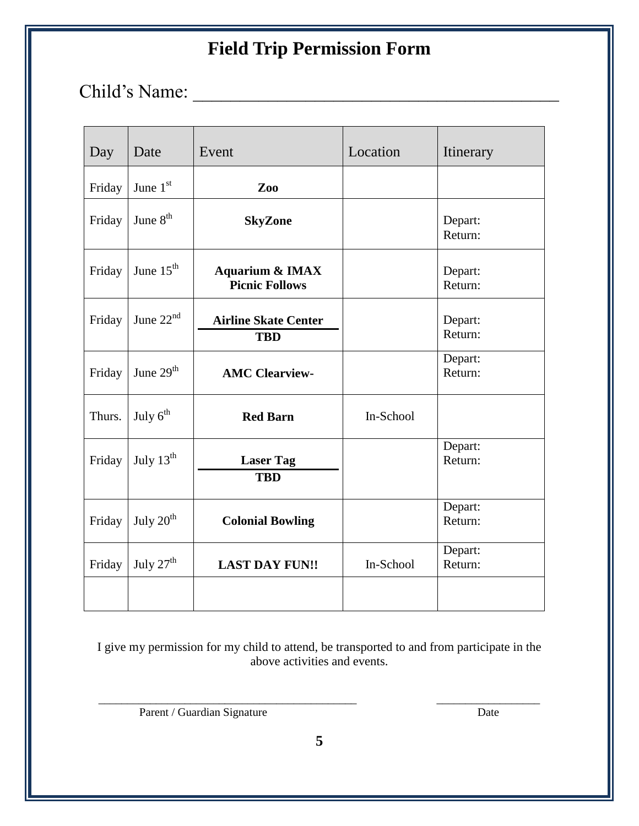# **Field Trip Permission Form**

# Child's Name:

| Day    | Date                  | Event                                               | Location  | Itinerary          |
|--------|-----------------------|-----------------------------------------------------|-----------|--------------------|
| Friday | June 1st              | Zoo                                                 |           |                    |
| Friday | June $8th$            | <b>SkyZone</b>                                      |           | Depart:<br>Return: |
| Friday | June $15^{\text{th}}$ | <b>Aquarium &amp; IMAX</b><br><b>Picnic Follows</b> |           | Depart:<br>Return: |
| Friday | June $22nd$           | <b>Airline Skate Center</b><br><b>TBD</b>           |           | Depart:<br>Return: |
| Friday | June $29th$           | <b>AMC Clearview-</b>                               |           | Depart:<br>Return: |
| Thurs. | July 6 <sup>th</sup>  | <b>Red Barn</b>                                     | In-School |                    |
| Friday | July $13^{\text{th}}$ | <b>Laser Tag</b><br><b>TBD</b>                      |           | Depart:<br>Return: |
| Friday | July 20 <sup>th</sup> | <b>Colonial Bowling</b>                             |           | Depart:<br>Return: |
| Friday | July $27th$           | <b>LAST DAY FUN!!</b>                               | In-School | Depart:<br>Return: |
|        |                       |                                                     |           |                    |

I give my permission for my child to attend, be transported to and from participate in the above activities and events.

Parent / Guardian Signature Date

\_\_\_\_\_\_\_\_\_\_\_\_\_\_\_\_\_\_\_\_\_\_\_\_\_\_\_\_\_\_\_\_\_\_\_\_\_\_\_\_\_\_\_\_\_ \_\_\_\_\_\_\_\_\_\_\_\_\_\_\_\_\_\_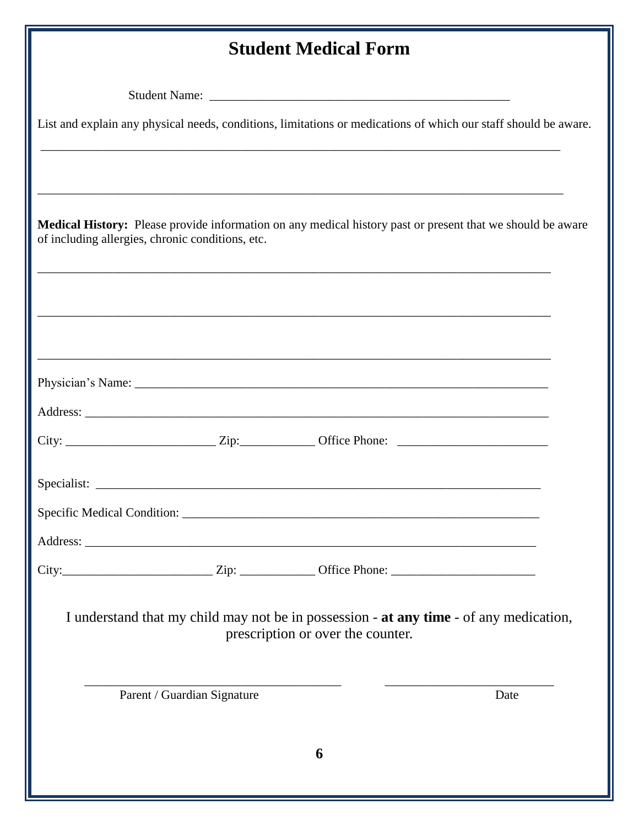## **Student Medical Form**

Student Name: \_\_\_\_\_\_\_\_\_\_\_\_\_\_\_\_\_\_\_\_\_\_\_\_\_\_\_\_\_\_\_\_\_\_\_\_\_\_\_\_\_\_\_\_\_\_\_\_

|  |  |  | List and explain any physical needs, conditions, limitations or medications of which our staff should be aware. |  |  |
|--|--|--|-----------------------------------------------------------------------------------------------------------------|--|--|
|--|--|--|-----------------------------------------------------------------------------------------------------------------|--|--|

\_\_\_\_\_\_\_\_\_\_\_\_\_\_\_\_\_\_\_\_\_\_\_\_\_\_\_\_\_\_\_\_\_\_\_\_\_\_\_\_\_\_\_\_\_\_\_\_\_\_\_\_\_\_\_\_\_\_\_\_\_\_\_\_\_\_\_\_\_\_\_\_\_\_\_\_\_\_\_\_\_\_\_

**Medical History:** Please provide information on any medical history past or present that we should be aware of including allergies, chronic conditions, etc. \_\_\_\_\_\_\_\_\_\_\_\_\_\_\_\_\_\_\_\_\_\_\_\_\_\_\_\_\_\_\_\_\_\_\_\_\_\_\_\_\_\_\_\_\_\_\_\_\_\_\_\_\_\_\_\_\_\_\_\_\_\_\_\_\_\_\_\_\_\_\_\_\_\_\_\_\_\_\_\_\_\_

|  | $City:$ $Zip:$ $Zip:$ $Office Phone:$ $\Box$ |  |
|--|----------------------------------------------|--|

I understand that my child may not be in possession - **at any time** - of any medication, prescription or over the counter.

 $\frac{1}{2}$  , and the set of the set of the set of the set of the set of the set of the set of the set of the set of the set of the set of the set of the set of the set of the set of the set of the set of the set of the set

Parent / Guardian Signature Date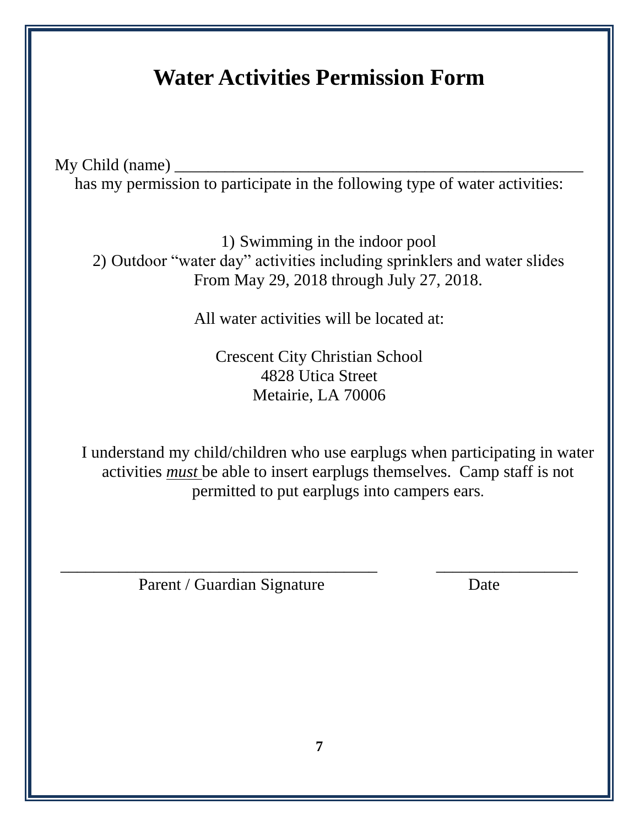# **Water Activities Permission Form**

My Child (name) \_\_\_\_\_\_\_\_\_\_\_\_\_\_\_\_\_\_\_\_\_\_\_\_\_\_\_\_\_\_\_\_\_\_\_\_\_\_\_\_\_\_\_\_\_\_\_\_\_

has my permission to participate in the following type of water activities:

1) Swimming in the indoor pool 2) Outdoor "water day" activities including sprinklers and water slides From May 29, 2018 through July 27, 2018.

All water activities will be located at:

Crescent City Christian School 4828 Utica Street Metairie, LA 70006

I understand my child/children who use earplugs when participating in water activities *must* be able to insert earplugs themselves. Camp staff is not permitted to put earplugs into campers ears.

Parent / Guardian Signature Date

\_\_\_\_\_\_\_\_\_\_\_\_\_\_\_\_\_\_\_\_\_\_\_\_\_\_\_\_\_\_\_\_\_\_\_\_\_\_ \_\_\_\_\_\_\_\_\_\_\_\_\_\_\_\_\_